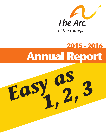

# **2015 - 2016 Annual Report**

*Easy as 1, 2, 3*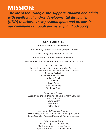## **MISSION:**

*The Arc of the Triangle, Inc. supports children and adults with intellectual and/or developmental disabilities [I/DD] to achieve their personal goals and dreams in our community through partnership and advocacy.*

### **STAFF 2015-16**

Robin Baker, Executive Director Duffy Palmer, Senior Director & General Counsel Lisa Maier, Quality Assurance Director Karen Warner, Human Resources Director Jennifer Pfaltzgraff, Marketing & Communications Director Individual Services: Michelle Merritt, Director of Individual Services Mike Kirschner, Assistant Director of Individual Services Maranda Beckwith Ramona Castillo-Segoviano Yolanda Enoch Tara Moore Lucas Parkin Kerr Siegemund Stephanie Smith

Employment Services: Susan Swearingen, Director of Employment Services Barb Germiller Laura Guidry Steve Johnson Kathy Mayer

Community & Volunteer Programs: Michelle Foy, Assistant Director of Community Programs Susan Chandler, Assistant Director of Volunteer Services

> Administrative Team: Kenneth Kelty Shauna Leng Marilyn Monroe Eileen Patrick Joyce Marie Smith Lindsay Smith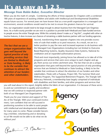## **It's as easy as 1,2,3...**

## *Message from Robin Baker, Executive Director*

When you do the math it's simple. Combining the efforts of three separate Arc Chapters with a combined 180 years of experience of assisting children and adults with Intellectual and Developmental Disabilities equals future success. For several years we have known that as a non-profit organization in a managed care environment, several conditions would need to be met to ensure the greatest chances for survival.

First, our organization would need to be large enough to attract business from the Managed Care Organizations. As a multi-county provider we are now in a position to provide both Medicaid and State funded services to people across the entire Triangle area. While this certainly doesn't make us a" big fish", coupled with other attractive features, it does increase our chances of remaining a viable business partner with our funding agencies.

The fact that we are a unique organization that goes well beyond the typical practice of only providing services that are limited to Medicaid or State funding, is likely to be the variable that continues to attract the attention of our funders and other stakeholders.

Second, transforming three separate chapters into one provides economies of scale that enable us to pool resources. As a result, we are in a better position to pay the new and increased expenses to do business with the Managed Care Organizations including but not limited to Outcome Based Reporting Systems, Quality Assurance Data Systems, National Accreditation and an expanded authorization process.

Third and most importantly, joining forces has allowed us to take all of the programs and services that were once unique to each chapter and apply them across our entire catchment area. The fact that we are a unique organization that goes well beyond the typical practice of only providing services that are limited to Medicaid or State funding, is likely to be the variable that continues to attract the attention of our funders and other stakeholders. Petals with a Purpose, Project SEE, The Summer Work and Wellness Program, The Supported Retirement Program, The Triangle Self-Advocacy Network, a membership base largely comprised of individuals with disabilities and their families, and other programs and services that

you will read about in this report, brightly define the fabric of our organization. It is because of these servic-

es and our commitment to quality and excellence that we will continue to respected partner with both of our Managed Care Organizations.

Thank you for your interest and support of The Arc of the Triangle. With your continued involvement, I am confident that we will succeed in positioning ourselves to be able to assist people with intellectual and developmental disabilities for many years to come. Please consider becoming a member, volunteering and or donating to us! We would not be able to do what we do without you!

di 7. Buke

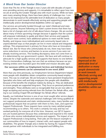### *A Word from Our Senior Director*

Given that The Arc of the Triangle is now 2 years old with decades of experience providing services and supports, it is remarkable to reflect upon how new we are at serving the Greater Triangle area with much success. While we have seen many amazing things, there have been plenty of challenges too. I continue to be impressed at the admirable level of dedication so many people demonstrate to work towards effectively serving and supporting people with intellectually and/or developmental disabilities within our agency.

Our services are primarily funded through our state's Medicaid and state funded systems. Anyone following our state's system knows that there has been a lot of changes and a lot of talk about future changes. We are excited about many of these upcoming changes because it appears that the system will empower individuals to guide and direct their services and supports with much more control, have additional options to meet real-life needs flexibly, and impose more individualized and community based rules in unprecedented ways so that people can live in more natural and integrated settings. This empowerment is primary for those who have an Innovations Waiver slot. But for those who unfortunately do not, there may have been some reductions in services and barriers to access services if you were not already receiving services. This funding discrepancy does not come from us. It is determined by our government's system. We have and will continue to advocate for a high quality services and supports that leaves no one behind. This is a tremendous challenge, but one that we embrace because our preexisting entities were founded upon this belief and mission decades ago!

#### **Our successes within our Employment Services and Individual Services departments can be summarized in one word: JOBS!**

More than any time previously, our Employment Services Department helped more people with disabilities obtain competitive community-based employment. This was no small task. We are fortunate to have persistent Employment Specialists who listen well and help employers hire people with disabilities because of the benefits the employer realizes by doing so. They are dedicated to ensure people are supported long-term. They focus on personal preferences and strengths. These attributes were so recognizable that we are now able to begin accepting and serving referrals from the Durham Voc Rehab office, adding to our existing Chapel Hill and Raleigh Voc Rehab offices' referrals.

Equally, our Individual Services is one of our most sought after service departments. Despite the statewide and national challenges with hiring qualified direct support professionals and static reimbursement rates, many families and professionals request that we partner with them to hire, train, and supervise Support Professionals. These requests have come by many satisfied people recommending us to others. This work is certainly not easy and has not worked perfectly for everyone all of the time. However, our QP IS Supervisors are trusted partners because they understand and respond to the needs of those who receive individualized services and supports. The impact of our Support Professionals is long-lasting. Their jobs are the beacon example to our communities of how to respect, interact with, and support people with disabilities. The greater Triangle area is better by having Arc Support Professionals partner with individuals to live integrated and fulfilling lives.

Duffy Palmer Senior Director & Legal Counsel



*I continue to be impressed at the admirable level of dedication so many people demonstrate to work towards effectively serving and supporting people with intellectually and/or developmental disabilities within our agency.*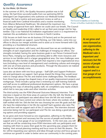## *Quality Assurance*

#### *by Lisa Maier, QA Director*

In the summer of 2015, the Quality Assurance position was in full swing. We had three successful audits from our partnering MCOs (Managed Care Organization) who authorize our Medicaid funded services. We had a routine and post payment review as well as a financial audit from Cardinal Innovations and a routine monitoring from Alliance Behavioral Healthcare. We attained the maximum two

year stamp of approval from each. Before we could catch our breath, The Council on Quality and Leadership (CQL) called to set up their post-merger visit for September. CQL is our National Accreditation organization and it is a requirement to maintain this accreditation to be in business in North Carolina.

CQL focuses on both how we do business (10 Factors) and on the personal outcomes of the people we support. Laura Fleming, our CQL liaison, came into our offices to discuss our merger activities and to assist us to move forward with CQL providing us a foundational structure.

Management sat down, with Laura, and discussed how we are combining the strengths of each organization and the challenges of merging our offices. Our strengths included; having the same business goals in our Person Centered Excellence Plans, merging our specialties and being able to offer more resources and services to our families and in a larger geographical area. Our new challenges were blending our office families (staff), growth that required a new organizational structure (including a new level of management) and combining cultures and emerging with one set of best practices and procedures. Through the discussions we realized how far we had already come.

Laura also sat down with two focus groups – Staff (QPs and Support Professionals) and participants we support. Each group shared the things they would never want to change about The Arc and shared some challenges/ideas. The feedback from these focus groups has shaped many of our quality improvement projects and workgroups. These include a group that is reviewing our staff training materials and staff access to additional professional development options. We have a group exploring new ways of attracting quality staff, we completed a pay equity analysis which led to new pay scales and other retention activities.

The third activity was the POM (Personal Outcome Measure) Interview. This interview is based on the three areas of a person's life; My Self, My World and My Dreams. Our participant was asked about how she felt she was treated (respect), did she have control over where she lived, where she worked, what staff worked with her. Did she feel she was choosing her own life goals and did she have the relationships in her life she wanted? Each question also rates The Arc and how well we support each of the 21 outcomes. The interview showed outcomes being met for our participant and The Arc was doing a good job giving options and providing supports.

As we grow and move forward as one organization, adhering to the Medicaid rules is important and necessary but the success of people and families we support and is a true gauge of our accomplishments. In the next year, you will see that we will be conducting more POM interviews with our participants and meeting with them to assess their goals for the upcoming year, prepare them for leading their annual planning meeting and focus more on their life dreams. The Arc will be requesting your opinions and ideas through surveys and focus groups to continue our growth in order to better serve our community in the coming years.



The Council on Quality and Leadership Partners in Excellence; Leadership for the Journey.

> *As we grow and move forward as one organization, adhering to the Medicaid rules is important and necessary but the success of people and families we support and is a true gauge of our accomplishments.*

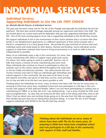# **INDIVIDUAL SERVICES**

## *Individual Services: Supporting Individuals to Live the Life THEY CHOOSE*

#### *by: Michelle Merritt Director of Individual Services*

This past year has been a busy one for The Arc of the Triangle and especially the Individual Services Department. We have seen several changes especially among our Supervisors and Direct Care Staff. We are excited about our current team and the dedication they put into supporting Individuals with ID/ DD. One of the most exciting aspects of our role in supporting individuals to live the life they choose.

We support individuals to live in the environment of their choice whether that is at home with their family, in our Meadowmont apartments, in a different apartment of their choice (maybe with a friend or companion) or in a local group home. We provide the type and level of services that each individual wants and needs based on their desires, interests and funding. Some individuals receive supports to help them maintain their home or living environments or to work on skills to lives as independently as possible.

Many of our individuals enjoy a day in the community. For some, that means volunteering with others to support many great local causes. For others, this means going to work at a paid job! And for a lot of folks that means a mixture of some volunteering and some work. Many individuals also continue to choose to participate in other Arc activities such as the various classes offered throughout the week and/ or the fun Friday and advocacy activities. Our staff promote full community inclusion and want to help our individuals gain friendships and natural supports in the community. We also want to be there to support parents and other care givers so that they can live, work and play too so they are able to be the best care givers possible as well.



Thinking about the Individuals we serve, many of whom have been with The Arc for many years, its amazing to think how many have completed school and now participate in a full day in the community with support of their staff and families. When I run into them participating in cooking class or volunteering for TABLE, or at their job at EV, I see smiling facing. I see a sense of pride for their work and accomplishments. Its clear they are living the life they want to live doing what they want to do! Often I find out about new and exciting things going on in the area from the folks we support and their families because they are out doing these awesome things. It is clear The Arc of the Triangle supports individuals with ID/DD to live the life that they choose!



*Thinking about the Individuals we serve, many of whom have been with The Arc for many years, its amazing to think how many have completed school and now participate in a full day in the community with support of their staff and families.*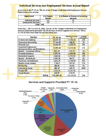|                                                |               | Individual Services and Employment Services Annual Report                                |  |
|------------------------------------------------|---------------|------------------------------------------------------------------------------------------|--|
|                                                |               | At the end of the FY 15-16, The Arc of the Triangle's Individual and Employment Services |  |
| Departments were serving:<br><b>Department</b> | # of People   | # of People in Process of Accessing                                                      |  |
|                                                | <b>Served</b> | <b>Services</b>                                                                          |  |
| Individual Services                            | 215           | 32                                                                                       |  |
| <b>Employment Services</b>                     | 127           |                                                                                          |  |
|                                                | 342           |                                                                                          |  |

From July 1, 2015 to June 30, 2016, The Arc of the Triangle's Individual and Employment

| <b>Service</b>                                               | FY 15-16   | Difference from last<br><b>FY</b> | % change<br>from last FY |
|--------------------------------------------------------------|------------|-----------------------------------|--------------------------|
| In Home Skill Building                                       | 50,047.00  | $+9,756.50$                       | 24%                      |
| <b>Community Networking</b>                                  | 17,766.00  | $+468.25$                         | 3%                       |
| <b>Personal Care</b>                                         | 18,060.00  | $+5,070.75$                       | 39%                      |
| Supported Employment<br>(Innovations Waiver and B3 Medicaid) | 13,895.00  | $+3,315.50$                       | 31%                      |
| Respite - Innovations Waiver                                 | 9522.25    | $+137.75$                         | $1\%$                    |
| Personal Assistance                                          | 6,970.50   | $+1,060.00$                       | 18%                      |
| <b>Residential Supports</b>                                  | 3,068.50   | $-2,734.50$                       | $-47%$                   |
| Respite - B3 Medicaid                                        | 5,493.50   | $+96.75$                          | 2%                       |
| <b>Vocational Rehabilitation</b>                             | 3,623.25   | $+1,738.50$                       | 92%                      |
| Respite (state-funded)                                       | 1,788.5    | $+307.00$                         | 21%                      |
| <b>Private Pay</b>                                           | 286.00     | +16.00                            | 6%                       |
| <b>Community Guide</b>                                       | 382.50     | $+345.75$                         | 941%                     |
| Project SEE                                                  | 1,321.25   | $+1,321.25$                       |                          |
| Group Respite                                                | 210.75     | $+210.75$                         |                          |
| <b>TOTAL</b>                                                 | 132,435.00 | $+21,110.25$                      | 24%                      |

### **Services and Supports Provided FY 15-16**

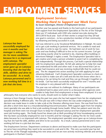# **EMPLOYMENT SERVICES**

Latonya has been successfully employed for over 6 months and her manager is asking The **Arc for more candidates** because he is so impressed with Latonya. The employment specialist never gave up on Latonya knowing that she had the skills, abilities and drive to be successful. As a result, Latonya persevered and is now working full time in a job that she loves.

## *Employment Services: Working Hard to Support our Work Force by Susan Swearingen, Director of Employment Services*

Another year has passed and thanks to the hard work of our participants with support from the Employment Specialists at The Arc of the Triangle there are 37 individuals with I/DD who started new jobs during the 2015/2016 fiscal year. Each of their stories is unique but they all had one goal in common…to be a productive member of their community by obtaining and being successful in a job.

Carl was referred to us by Vocational Rehabilitation in Raleigh. He wanted to get a job working in janitorial services. He is unable to read and only able to write to sign his name. He had been out of work for two years and was finding it difficult to live on his current income. Carl got a job doing exactly what he wanted to do, cleaning office buildings in downtown Raleigh 5 nights a week. The Employment Specialist had to get creative and create a picture schedule to assist Carl in completing his task independently. Through this process, Carl built a special relationship with his employment specialist. He felt safe asking her to help him read and understand his bills and other mail. It was discovered that Carl no longer had insurance and was receiving medical bills that he could not pay. The Arc stepped into action assisting Carl with applying for and obtaining Medicaid. Carl's Employment Specialist continues to check on him at work to make sure all is well and she lets him know when she is coming so he can bring his mail and they can go through it together on his break. Carl has been successfully employed for over 7 months and his employer is very pleased with his work.

The year was not without its challenges. Many of our participants are considered hard to place and come to us because other agencies were unable to help them find employment or keep them employed. It is our

philosophy that everyone who wants to work, should work no matter what it takes.

Latonya is from Orange County. During the past two years she has had support from her Arc employment specialist finding 4 different jobs. Her first job was with U-Haul where she was under-employed so the decision was made leave in order to take a job at the Sheraton offering more hours. She was fired from this job after a short time due to a misunderstanding/miscommunication. With support again from her employment specialist she was able to find a job working through home health. When her patient went into the hospital and there were not enough hours to keep her employed Latonya and her employment specialist went job hunting again. She finally found her dream job at Aloft providing full time housekeeping services. She has been successfully employed for over 6 months and her manager is asking The Arc for more candidates because he is so impressed with Latonya. The employment specialist never gave up on Latonya knowing that she had the skills, abilities and drive to be successful. As a result, Latonya persevered and is now working full time in a job that she loves.

The Employment Services Department continues to above and beyond to make sure that the participants we serve have everything they need to be successful in a job and in life. This very successful year has led to The Arc of the Triangle expanding into new areas and we are now actively receiving referrals and serving participants in Durham County.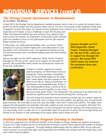# **INDIVIDUAL SERVICES (cont'd)**

## *The Orange County Apartments in Meadowmont*

*by Lisa Maier, QA Director*

In April 2015 the Orange County Apartments needed someone new to step in to ensure the tenants had a person to call for repairs and the property taken care of. The Arc's Community Guide Stephanie Smith and I stepped in to learn the ropes. For several months Stephanie and I teamed up to complete the monthly

inspections and repairs. It was a challenge to learn the Housing and Urban Development [HUD] rules and contracts but a pleasure getting to know our tenants. As Stephanie's Community Guide caseload grew she needed to focus on her participants and my QA responsibilities needed my focus.

In December, we celebrated the holidays with our tenant Tristan jumping in to put up outdoor lights and a tree (decorated in Carolina blue) in the community room. The apartments looked very festive and the tenants had a wonderful holiday party that their families organized.

January brought our first HUD inspection. Heath Younts, Property Manager for The Arc of NC, came out to support me through the process. We scored 99% which means we achieved the maximum three year certification.



In March, to better support our tenants and the property, we hired Tristan to be our handyman. Tristan has been a wonderful help. He has provided support to his neighbors, made repairs and was a person on site that we can rely on. About a month later, we purchased a new basketball hoop. Tristan is very mechanically inclined. I served as his assistant while we put it together. It was a long **January brought our first HUD inspection. Heath Younts, Property Manager** for The Arc of NC, came out to support me through the process. We scored 99% which means we achieved the maximum three year certification.

day but it looks great! Tristan "The Handyman" has continued to be there when we needed his expertise and I look forward to his help this coming year.

The only thing that seemed to have something missing was our outdoor space by the community room. In May, just as the weather was getting nice, we purchased

patio furniture. We were able to buy two very nice tables, each with 4 chairs and cushions. The tables were topped off with beautiful red umbrella's that add a splash of color and class to our property. We thank The Ireland Family Foundation for their donation. In the coming year we will be making a few improvements to our community room to make sure it's a comfortable space for everyone to enjoy. We encourage family and friends of our tenants to take advantage of the larger gather space inside and out!

## *Durham Voucher Respite Program Growing in Durham*

In 2014 we supported over 30 Durham families. A few families no longer needed our support and several moved in B-3 state funded services or received the Innovations waiver which reduced the number of families that were enrolled in the program. Through building relationships with the Alliance BHC Access staff and word of mouth we are growing again and supporting more families and caregiver get the respite they need with a little financial support.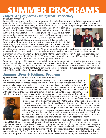# **SUMMER PROGRAMS** *Project SEE [Supported Employment Experience]*

#### *by Clayton Williamson*

Project SEE is a six-week work placement program that puts students into a workplace alongside the guidance of a Project SEE job coach. Each student gains professional and social skills, such as how to work as part of a team or how to get ready for work in time for their daily shift. A typical Project SEE student works a

20-22 hour work week, Monday through Friday. In addition to earning a paycheck, students can also earn credit hours that go toward graduation. Warren, a 25-year veteran of job coaching with Project SEE, enjoys watching his students grow and expand their skill sets. "I give them a chance to be independent as much as possible. I give them space to work."

Most vocational rehabilitation work assessments only last three to four hours, an insufficient amount of time to truly gauge a student's potential and strengths. But Project SEE lasts six weeks, providing job coaches with far more insight into a student's abilities and work ethic. "When the nov-

elty of having a new job wears off," says Warren, "we get to see what each student is really made of." The six-week duration also allows job coaches to better understand students and help focus their energies. Permanent job offers are often made to student-interns once their time with Project SEE is complete, says Susan Swearingen, leader of Project SEE. "Employers such as Whole Foods and SAS are always delighted to work with us. Our students become important parts of their team."

Susan has seen Project SEE become an incredible program for young adults with disabilities, and she hopes Project SEE will take on more student-interns and job coaches in the summers ahead. "This year we had 18 students," she says, "and we'd love to have many more." She's working to ensure Project SEE can take on more student-interns for the near future, but they need more funding to hire job coaches like Warren. Project SEE is funded by Aliance Behavioral Healthcare and private grants.

## *Summer Work & Wellness Program*

#### *By Mike Kirschner, Assistant Director of Individual Serivces*

For the last 13 years I have had the pleasure of being a part of an amazing summer program in Chapel Hill, that has helped shaped some of the way we provide services year round. This program takes place for 9 weeks every summer for students who are between the ages of 15 to 22 years old. There are two main focuses. One is an introduction to vocational training and the other is social. We have partnered with some amazing companies. They have taken us in with open arms as they share the same common goal to give our folks the opportunity to learn skills that can help them get a paid position after graduation from high school. The Habitat

For Humanity Restore thought the participant who was learning new job skills there for a volunteer position was so productive that they asked that he continue to volunteer there after the summer program. At the Egg & I they were so excited about helping those we serve, that they treated Jason as if he were a paid employee and gave him their official work shirt. Tobacco Road Sports Café started the conversation with us before the program began by asking if Joshua could work in the kitchen and if it works out could they hire him. That sort of enthusiasm is what helps drive the success of this program. The vocational side helps teach the community the importance of having an inclusive work force. It shows that those we serve have a lot to offer and customers see how valuable our participants are where it hopefully will become the norm.

But it's not all work. After all, the students deserve a summer break. They participate in a Social Skills Chorus once a week from Voices Together where some of the shy participants blossom. Voices Together has been such a positive influence on our program and has brought joy to those we serve. We go on hikes on local trails, swimming at the Community Center, do science experiments, go to the Chapel Hill library to learn how to sign out books, field day games, make tie dye shirts, talent shows, local fire station visit, dance parties and more. On Fun Fridays we go to places like Jordan Lake and do a cook out, Asheboro Zoo, Scavenger Hunts at Southpoint Mall or UNC campus, the movies at The Lumina, Museums, and Bowling at Mardi Gras.





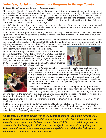## *Volunteer, Social,and Community Programs in Orange County*

#### *by Susan Chandler, Assistant Director fo Volunteer Services*

The Arc of the Triangle's Orange County social programs are led by volunteers and continue to attract many new members. The Arc's success is greatly attributed the involvement of community volunteers leading and their involvement in weekly programs and agencies that create fundraising and awareness events. Over the past year The Arc has benefitted from local UNC Sorority ZTA 5K Race donating proceeds raised, Cardinal Fleet Feet races taking place three times a year, AVEDA's tip of the month club and the Knights of Columbus Tootsie Roll fundraiser. Indeed, it takes a village.

Arc HOOPS participants shoot some hoops, learn new skills, the rules of the game, get a good workout and have some fun! The coach's goal is to build a basketball team, organize teams and tournaments, create HOOPS uniforms and watch the basketballs fly!

Cardio Spin Class participants enjoy listening to music; pedaling at their own comfortable speed; warming up and cooling down with stretching exercises. Coaches encourage everyone to do their best in a fun and supportive atmosphere.

Community Connections is a program that matches a volunteer from our community with a partner (a teenager or adult with a developmental disability). The volunteer and partner spend time together each month, enjoying recreational and leisure activities. This is a time to learn new skills, grow as individuals, and to get

to know each other as the partner becomes more socially involved in the community. Make a difference; make a friend.

Nutrition and Cooking Class allows adults to use hands-on experiences to further their knowledge of nutrition as well as their skills in the kitchen. Each week a different "Head Chef" picks out a recipe to prepare in the class with everyone cooking together. At the end of class, the chefs get to enjoy the fruits of their labor. Once a month thirty-six Meals on Wheels families enjoy a healthy dessert prepared by the cooking class. Field trips are included.





Petals with a Purpose is an effort to connect flowers to people, all the while making a positive difference on the environment. Using items destined for the landfill and with support from the community including Whole Foods, Petals with a Purpose is in full bloom! Combining fine motor skills, music, volunteers and friends with a social conscience, each week they create bouquets of fresh flowers that are donated to the St. Joseph's food pantry, hospice care patients, senior centers and local events such as Special Olympics Banquet Dinner as Acts of Random Compassion.

Friday Lunch & Learn in Chapel Hill Lunch & Learn presents an opportunity to socialize and learn about a topic of choice such as voting or knowing your rights.

Friday Fun Day Friday Fun Day are for those over 18 years of age, wanting to go out and about in the community to places and activities based on their interests. The last Friday is pizza and bowling, the other weeks have included the Durham Museum of Life and Science,

tour of our local Chapel Hill Police Department, enjoying ice creamon the porch of Maple View Dairy, or movies on a rainy day.

HOPE Gardens is a community garden founded by UNC Chapel Hill students where local organizations have the opportunity to cultivate and grow fruits, vegetables, flowers for their own use. Each year Arc's cooking class adopts two garden beds where individuals see firsthand how to use organic food in their daily lives and share it with family and friends.

*"It has made a wonderful difference in my life getting to know my Community Partner. She is extremely affectionate with a wonderful sense of humor. I feel like I have benefitted from her friendship even more so than she has from mine. I would 100% recommend the experience to someone else. She finds joy in activities and relationships. To me she is extremely strong and courageous. I've learned that small things make a big difference and that simple things we do go a long way." -Community Connections Volunteer*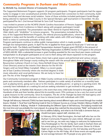## *Community Programs in Durham and Wake Counties*

### *by Michelle Foy, Assistant Director of Community Programs*

The Supported Retirement Program supports 24 program participants. Program participants had the opportunity to engage in new social/physical activities that increased their connection to their community, build new friendships and decrease social isolation. Some of those activities included participant Gerald Baugh being selected to represent Wake County in the Special Olympics golf tournament in November. He also participatedThe Arc's 2nd Annual Michael & Sons Golf Tournament.

I was invited to present at the NCAPSE (North Carolina Association of Persons Supporting Employment First) Conference in March along with program participant Gerald Baugh who co-presented. The presentation was titled: *Retired & Inspired Welcoming Older Adults with "disAbilities" to inclusive programs.* The presentation included the history of the Supported Retirement Program, the referral process/qualifications, where the program is today and the benefits of working with older adults with I/DD and helping them to retire to community activities of their choice.

Program participants continue to utilize public transportation which is made possible

through two transportation grants. In April The Arc re-applied for those grants for fiscal year 17 and was approved for both. The Elderly and Disabled Transportation Assistant Program grant (EDTAP) in the amount of \$21,000 and the Capital Area Metropolitan Planning Organization (CAMPO) Section 5310 grant in the amount of \$203,440.00. With a substantial increase in grant funding awarded for the new fiscal year means continued transportation to all program participants at no cost to them along with future expansion to the program.

Both the M'n'M Singers and Grace Notes choirs had a great season and performed and various venues throughout Wake and Orange county ending the season with the annual talent show on June 13, 2016 at

Resurrection Lutheran Church in Cary. Dona McNeill (Grace Notes Choir Director) acted as the interim choir director for the M'n'M Singers until we hired Hillary Campbell. Hillary is a recent graduate of East Carolina University where she received degrees in both music education and vocal performance. We are lucky to have her join The Arc of the Triangle family.

Our Community Connections program in Wake County continues to be a popular program for both participants and community members alike. Partners participate in a wide variety of activities on a monthly basis such as playing tennis, going out to eat or to the movies, attending picnics or going to a sporting event. We currently have individuals on a waiting list and are seeking volunteers to get involved in this program.

Family Fun Night, at Marbles Kids Museum is the event that every child looks forward to throughout the year. Hundreds of kids and their families attend this bi-monthly event. FFN continues to be a very fun event as well a great resource to the community. Since its inception, The Arc of the Triangle has been the lead agency and trains the Marbles staff and volunteers on how to interact/work with individuals with I/DD.

Triangle Self Advocacy Network (TSAN) has been learning about several different topics and moved through four module lessons. Module 1- Fiscal Year Goal Planning Goals & How to Measure Success as a Group; Module 2-Being a Healthy Self Advocate; Module 3- Bullying; Module 4- Understanding the Different Types of Self Advocacy. The bullying module took the most time and was probably the most enjoyed. As a group they watched the documentary "Bully" and looked at the different types of bullying, identifying a bully, how to address bullying and what to do if the bully is someone that you



should trust (peer, support staff, volunteer, etc.).

In February 2016, Mark Pennington, the lead staff who has run the Durham Community Programs for years retired. Although we were sad to see him go, we were very happy to welcome his replacement, Trina Pendergraph to The Arc family. Each week in Durham there are fun events going on for individuals 18 and over. Dinner & A Movie Night on the 2nd Friday, Dances on the 3rd Saturday and Pizza and Games Night on the 4th Friday. All of these events are equally popular and average between 40-70 people at any given time.



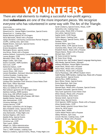# **VOLUNTEERS**

There are vital elements to making a successful non-profit agency. And **volunteers** are one of the more important pieces. We recognize everyone who has volunteered in some way with The Arc of the Triangle.

#### **Americorps**

Sherry Anscher, cooking class Edward Aul Sr., Human Rights Committee, Special Events Edward Aul Jr., Cooking class Kaylee Bannon (pianist) M'n'M Singers Daria Botrowski, Petals with a Purpose Ashlyn Brandner, Community Connections Partner Program (CCPP), cooking class, Spin Class Maddie Breem, Outreach, Special Events Lisa Brenman, CCPP Kristin Brookshire, HOOPs Remington Brown, special events Ana Bruno, Petals with a Purpose Andrew Bullard, Community Connections Partner Program Lauren Burgess, CCPP Meredith Cohen, UNC Intern Megan Cooke, Spin Class Dustin Coutinho, HOPE Gardens Sera Cuni, CCPP Katherine Dalton, CCPP Laura Deem, Special Events Lauren Dixon, UNC Intern Lenore Donaldson, Outreach Volunteer Center Durham Cynthia Drysdale, Cooking class Cameron Dubois, Friday Night Live Suzahn Ebert, Friday Night Live Lyndsay Ellis (Assistant Choir Director) Grace Notes Choir Beth Foyle, Office Volunteer Katie Gandee, Spin Class Mary Lou Gelblum M'n'M Singers Rob Gelblum (guitarist) M'n'M Singers Choir Matthew Gellaty, HOPE Gardens Emily Gray, UNC APPLES Student Intern Kimberly Halberg, Petals with a Purpose, UNC Intern Maddie Heeter, Special Events Alex Heintzelman, CCPP Christine Hellinger, CCPP Juliana Herrera, CCPP Dale Hollar (scheduler) M'n'M Singers Mary Elizabeth Jones, Special Events Teresa Marie Jones, Special Events Amy Kalinowski, Friday Night Live Darlene Kipphut, UNC Intern Maddie Kirby, Special Events Brett Lee, Special Events Christina Lee, CCPP Tyler Leech, HOOPs Abigail Lin, Office Administration Jeremy Lin, Office Administration Tina Li, HOPE Gardens, cooking Class Rebecca Lineberry, Special Events, Petals, Friday Night Live Sarah Lineberry, Special Events, Petals, CCPP Samantha Link, Cooking Class Julia Luckas, Petals With a Purpose Ilsa Luther, Special Events Sophie Smith, CCPP, Petals Caitlin Mason, Cooking Class Jillian Mattera, Special Events, HOPE Gardens, CCPP Amanda Meers, Spin Class Kathryn Miller, CCPP, Special Events Charlotte Mills, Petals with a Purpose Elizabeth Moore, Petals with a Purpose Shayne Moore, Petals with a Purpose Michael Nam, CCPP NC State Arnold Air Society NC State Silver Wings NC Central Univ. Natl Student Speech Language Hearing Assoc. Allie Newby, Special Events, Outreach Anthony Nicholson, Human Rights Committee Anjali Patel, Petals with a Purpose Panna Patel, Petals with a Purpose Julia Perkins, Petals with a Purpose Gloria Pisarskaya, UNC APPLES Student Intern Caleb Pressley, HOPE Gardens, Cooking Class, Petals with a Purpose Joshua Ravitch, Special Events Natalia Rice, HOPE Gardens Becci Ritter, Petals, Special Events Emma Rosenthal, Spin Class Steve Rubin, Photographer Hannah Ryan, Petals with a Purpose, Special Events Elizabeth Schroeder, Special Events Tony Scott (guitarist) Grace Notes Choir Dillon Sharpe, Petals with a Purpose Serena Simmons, NCSU Intern Vanessa Soleil, Special Events Haejin Song, Special Events Chris Spencer, HOPE Gardens, Petals with a Purpose Alissa Vanderlinden, CCPP Laurel Veeder (pianist) Grace Notes Choir Jenny Vo, NCSU Intern Autumn West, HOOPs Caitlin Willen Petals with a Purpose Abbey Williams, Spin Class Lincoln Wurster, Cooking Class, CCPP Xuelan Wu, Petals with a Purpose

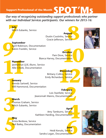*Our way of recognizing outstanding support professionals who partner with our Individual Services participants. Our winners for 2015-16:*

**1414**<br>Mitch **July** Mitch Eubanks, Service

## **August**

**gust**<br>rvice<br>rvice Dustin Coutinho, Service Gracie Jefferson, Service



**9**<br>
Ar<br>
Ka **September** April Robinson, Documentation Kalvin Franklin, Service

## **October**

**October**<br>e, Service<br>nentation Pam Dove, Service Bianca Harvey, Documentation

**11 November** Jawhannye (J.B.) Bunn, Service Allie Cheek, Documentation

December<br>ollins, Service<br>dson, Service **December Brittany Collins, Service** Emily Richardson, Service

**1**<br>**1**<br>**1**<br>**1**<br>**1**<br>**1**<br>**1**<br>**1**<br>**1**<br>**1 January** Brenda Sartwell, Service Will Hammond, Documentation

**Pruary**<br>Service<br>Tation **February** Lois Stanfield, Service Jiearonnah Manns, Documentation



**March**

**1999**<br>The Mit Thomas Graham, Service Mitch Eubanks, Service

pril<br>vice<br>tion **April** Amy Tamburro, Service Kathleen Harding, Documentation

**May**<br>Krist<br>Neil **May** Krista Benbow, Service Neil Bailey, Documentation

**une**<br>ervice<br>tation **June** Heidi Kerutis, Service Sandra Logan, Documentation

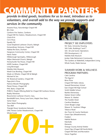# **COMMUNITY PARNTERS**

## *provide in-kind goods, locations for us to meet, introduce us to volunteers, and overall add to the way we provide supports and services in the community.*

Amante Pizza, Falconbridge Chapel Hill BJ's Club Carrboro Fire Station, Carrboro Chapel Hill Fire Station, Meadowmont, Chapel Hill Chick-Fil-A Cici's Pizza Equalty NC Good Shepherd Lutheran Church, Raleigh Extraordinary Ventures, Chapel Hill Habitat Re-Store, Durham Hargraves Community Center, Chapel Hill Harris Teeter Hillsborough Sportsplex, Hillsborough Hillyer Memorial Church, Raleigh HoneySuckle Tea House, Chapel Hill HOPE Gardens, Chapel Hill Long Beverages Marbles Kids Museum Mardi Gras Bowling, Chapel Hill Meals on Wheels, Chapel Hill & Raleigh Michael & Son NC Botanical Gardens, Chapel Hill Papa John's Pizza Patricia Meszler Photography Planet Fitness, Chapel Hill PNC Bank, Chapel Hill PORCH, People Offering Relief for Chapel Hill Carrboro Homes Reality Ministries Resurrection Lutheran Church, Cary, RambleRill Farm, Penny Lane Farm, Maple View Dairy Santa Claus! Steve Rubin Photography Taco Bell Triangle Down Syndrome Network UNC Fitness Center Meadowmont, Chapel Hill Whole Foods





#### Project See Employers:

NC State, University Housing SAS Cafés, Buildings F and T SAS Art and Scenic Operations PPD Development, L.P. Marbles Kids Museum Jordan Oaks Retirement Community The Gardens at Wakefield, Independent Living Whole Foods, Wade Avenue

#### Summer Work & Wellness Program Partners:

Cafe Carolina The Egg & I Brixx Pizza Chapel Hill Public Library Seawell Elementary School East Chapel Hill High School Smith Middle School Rashkis Elementary Market Street Coffee Weaver St. Market The Franklin Hotel Carolina Meadows Green Beagle Lodge Weaver St. Southern Village Tobacco Road Ace Town & County Hardware Great Clips (Meadowmont) Freddy's Habitat Restore Marshalls Elements Orange County Animal Shelter Great Clips (Chapel Hill North/MLK) Chapel Hill Parks and Recreation Voices Together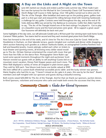

## **A Day on the Links and A Night on the Town**

June 6th started out cloudy and ended a perfect early summer day. What made it perfect was the turnout for the Michael & Son Community Classic Golf Tournament held at Devil's Ridge Golf Course in Holly Springs. Over 100 golfers turned out to drive one for The Arc of the Triangle. After breakfast and warm-ups on the putting green, golfers took part in a shot gun start and enjoyed the rolling fairways lined with towering hardwoods – a challenge for any golfer. Contests were held throughout the day, and at the end of 18 holes delicious BBQ was served by City Barbecue to everyone. Golfer Ken Alden had this to say, "The Arc of the Triangle hosted one of the best outings I've played in. Got to play on a beautiful course and the food and prizes were great. All to support a great cause! Our foursome will definitely be back next year."

Some highlights of the day were, our self-advocate Gerald sunk a 40 foot putt! Our winning team took home Scotty Cameron Titleist putters. Two teams tied for second and they each received great prizes from Devil's Ridge.

Now fast forward to the end of the week, and it's time for The Arc's first ever Gala for Good. Held at the Doubletree in Durham, on their lakeside terrace, guests mingled over cocktails and dinner while shopping a silent auction featuring such goodies as a deluxe Starbucks basket, an autographed Carolina Panthers foot-

ball and beautiful jewelry. Guests jokingly outbid each other on tickets to local theater and sporting events, all knowing every dollar raised would go to The Arc. DJ Kate Steiman entertained the crowd with music that got more than few folks on the dance floor. Photographer Steve Rubin captured some special moments throughout the night and auctioneer Scott Hanson wowed our guests with an ability to sell anything! Guests bid on a mountain resort vacation, Disney Park Hopper passes and much more. The Wine Wall displayed a variety of wines all wrapped in plain brown paper. They sold for \$20 each. Tara Moore took home one bottle valued at \$90!



We even raffled off a custom-built wheelchair accessible picnic table- and the lucky winner was sponsor, Marie Hughes who had this to say, "I haven't missed an Arc gala in 6 years- this was by far the best". Board members and staff mingled with our sponsors and guests during a beautiful evening.

Both events raised \$20,000 for The Arc of the Triangle. And for that we thank our sponsors, auction donors, In-Kind Sponsors, volunteers and everyone who came and made both events the successes that they were.

## *Community Classic* & *Gala for Good* **Sponsors**

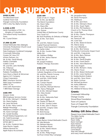# **OUR SUPPORTERS**

#### **Over \$5,000**

The Blanchard Fund Cardinal Track Club Triangle Community Foundation UNC's Zeta Tau Alpha Sorority

#### **\$,2500–4,999**

Lamb Foundation of NC, Inc. (Knights of Columbus) The Ireland Family Foundation **Trane** Ms. Crystal Dicken

#### **\$1,000–\$2,499**

United Methodist Men (Raleigh) University Presbyterian Church Local Outreach Committee State Employees Combined Campaign Crossroads Fellowship Greater NC Area CFC eVision Partners, Inc. Mr. & Mrs. David Woody Fidelity Charitable Golden Corral Mr. and Mrs. John McNeilly Ms. Prillaman Mr. Michael Riggs Pediatric Possibilities PA Senn Dunn a Marsh & McLennan Agency LLC Company Cintas Corporation BB&T Insurance Services Wells Fargo Foundation WRAZ TV, Inc Chris Leith Automotive 1-800-Water Damage

#### **\$500–999**

Amazon Smile IBM Employee Services Center Mr. & Mrs. Michael C. Madden Ms. Marie Hughes Ms. Janet McLamb Mr. & Mrs. Harry Land Jr. Raleigh Neurology Abilitations Children`s Therapy Ms. Karen Geringer Mr. Gerald Stockley Powell Medical Equipment, LLC Mr. Todd Escaravage RE Michel Company LLC WTVD ABC11 Mr. & Mrs. Frederick Haws State Electric Supply Withers Ravenel Inc. Apple Kojeca Accountants

#### **\$250–499**

Estate of Lila S.T. Fagan Mr. & Mrs. Joe Bylinski The Merck Foundation Ms. Dawn Selby Ms. Diane Ellis Mrs. Arch Blanchard Mrs. Dumas United Way of Washtenaw County Your Cause LLC Bio Tech Prosthetics & Orthotics of Raleigh Mr. & Mrs. Tom Davis CAI Mr. and Mrs. Robert Cooney Capital Financial Solutions Gregory Poole Equipment Company Ms. Jackie Linker Mr. & Mrs. Gordon Flake WRAL-FM Ms. Kathleen Phillips Mr. & Mrs. Arthur Warner Fresh Aire UV Mr. Joseph Freddoso Pediatric Therapy Associates

#### **\$100–249**

Mr. & Mrs. Fred Spielman Catholic Daughters of the Americas Mr. and Mrs. Patrick Conway Mr. & Mrs. Henry Jones, Jr. Mr. and Mrs. Girish Pande Mr. John Becton Ms. Carolyn Hassett Ms. Kerry Hutchins Mr. and Mrs. Michael Morrow Mrs. Nancy Pfaltzgraff Mr. & Mrs. Michael Harper Mrs. Mary Kessler Ms. Jana Filer Mr. & Mrs. Mahendra Patel Ms. Jaleh Hagigh Mr. Stanley W. Black III Mr. & Mrs. Gordon Leden Mr. & Mrs. John P. Deason Mr and Mrs. Gregory Glatz Mr. Blake Aiken Mr. Brett Koceja Mr. James Edwards

#### **\$1–\$100**

Hayes Barton United Methodist Church Mr. Atle Rinholm Ms. Barbara Kaluzny Mr. Needham Bryan Mr. & Mrs. Martin Moore Ms. Tara Moore Mr. & Mrs. Philip Kregor SunTrust United Way Campaign

Ms. Jacqueline Kelty Mr. David Thompson Ms. Matthysse Mr. & Mrs. Jack Davis Mr. & Mrs. Michael J Olson Mr. & Mrs. Stuart Teplin Mr. & Mrs. Phil Stanberry Church of St. Thomas More Ms. Linda Flake Mr. & Mrs. Charles Thompson Ms. Janet Levy Ms. Patricia B. Hill Ms. Carol Saur Mr. & Mrs. Robert B Devlin Ms. Marcia Spray Ms. Lisa A Blackburn Mr. & Mrs. Rick Tortora The Beverly Community Impact Fund Mr. and Mrs. Craig Jones Mr. & Mrs. Barry Steiman Mr. Brian McVeigh Mr. & Mrs. David Dropkin Mr. & Mrs. Frank Dietch Mr. & Mrs. Steve Blackmon Ms. Dana Kragick Mr. & Mrs. Richard I. Duley Ms. Sharon Youse Mr. & Mrs. Robert McDonald Mr. & Mrs. Lewis Stanford Dr. Nedda Ibrahim Drabick Mr. and Mrs. Steve Strom Mr. Robin Cochran Mr. Michael Jacobson Ms. Kathy Wilkinson Ms. Mary T. Evans Ms. Mildred M Munoz Oliva

#### *Grants:*

Crossroads Fellowship Orange County Stroud Rose Foundation Town of Carrboro Town of Chapel Hill Triangle Community Foundation

### *Holiday Gift Drive Elves:*

Pleasant Grove United Methodist Church The Alden Family Janet McLamb Dawn Selby Karen Geringer Katie Holmes Marie Hughes Donna Kregor Carol Moore Sean McCullough and many more individuals!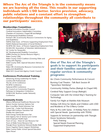**Where The Arc of the Triangle is in the community means we are learning all the time. This results in our supporting individuals with I/DD better. Service provision, advocacy, public relations and a constant effort to strengthen relationships throughout the community all contribute to our participants' success.** 

#### **Memberships/Committees**

Cardinal Innovations Provider Council Cardinal Innovations Stakeholders Committee Chamber of Commerce: Chapel Hill and Raleigh Developmental Disabilities Institute Durham CRC (Community Resource Connections for Aging and Disabilities) NAPSE (Natl Assoc. of Persons Supporting Employment First) NASW (National Association of Social Workers) NCAPSE (NC Assoc. of Persons Supporting Employment First) NCAVA (NC Association of Volunteer Administrators) NC Center for Nonprofits NC Developmental Disability Consortium SHRM (Society for Human Resource Mgmt.) Wake County CPAC Wake County GOLD Coalition (Growing Older and Living with Dignity) Wake County SEAC (Special Education Advisory Council) Wake CRC (Community Resource Connections for aging and disabilities) Wake LICC (Local Inter-Agency Coord. Council)

#### **Conferences/Professional Training**

Advancing Strong Leadership For North Carolina DD Professionals The Arc of US Conference NCAPSE Conference National APSE Conference NC Council on Community Programs Pathways to Integration Conference NCBLN (NC Business Leader Network) Conference

#### **Community Events**

Alliance Behavioral Healthcare Resource Fair Autism Society Summer Options Fair Blue Cross/Blue Shield Volunteer Fair Career Fair - Cedar Fork Elementary Chapel Hill/Carrboro Transition Fair Disable the Label Event Duke Energy Family Resource Fair Inter-Agency Fair at Tammy Lynn Center State Employee Health Expo Town of Cary - Share & Care Resource Fair Town of Wake Forest Resource Fair Triangle Down Syndrome Network Buddy Walk Voices Together Parent Support Workshops Wake County Public School Special Education Open House



## **One of The Arc of the Triangle's goals is to support its participants and their families outside of our regular services & community programs:**

Arc Choirs Community Performances & Concert

Burning Coal Theatre - Talk Back Session @ "Spoonface Steinberg"

Community Holiday Parties (Raleigh & Chapel Hill)

Cerebral Palsy Support Group (Raleigh)

Computer Sale with the United Way's Teaming for **Technology** 

Family Fun Night at Marbles Kids Museum

Holiday Gift Drive for Adults and Children with I/DD and Residents of The O'Berry Center

Party & Pics with Santa - A Holiday Party for children with Special Needs (partnership with TDSN)

Supports & Seminars (in partnership with Triangle Down Syndrome Network):

Potty Training Special Needs Financial Planning Supported Employment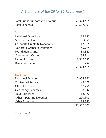## *A Summary of the 2015-16 Fiscal Year\**

| <b>Total Public Support and Revenue:</b> | \$3,324,415 |
|------------------------------------------|-------------|
| <b>Total Expenses</b>                    | \$3,507,603 |
| <b>Source</b>                            |             |
| <b>Individual Donations</b>              | 25,253      |
| <b>Membership Dues</b>                   | 3850        |
| Corporate Grants & Donations             | 17,015      |
| <b>Nonprofit Grants &amp; Donations</b>  | 45,995      |
| <b>Foundation Grants</b>                 | 33,345      |
| <b>Government Grants</b>                 | 235,114     |
| <b>Earned Income</b>                     | 2,962,550   |
| Dividends Income                         | 1,292       |
|                                          | \$3,324,415 |
| <b>Expenses</b>                          |             |
| <b>Personnel Expenses</b>                | 2,955,861   |
| <b>Contracted Service</b>                | 49,328      |
| <b>Office Expenses</b>                   | 57,256      |
| <b>Occupancy Expenses</b>                | 88,042      |
| <b>Travel Expenses</b>                   | 118,670     |
| <b>Other Operating Expenses</b>          | 220,105     |
| <b>Other Expenses</b>                    | 18.342      |
|                                          | \$3,507,603 |

*\*Not yet audited*